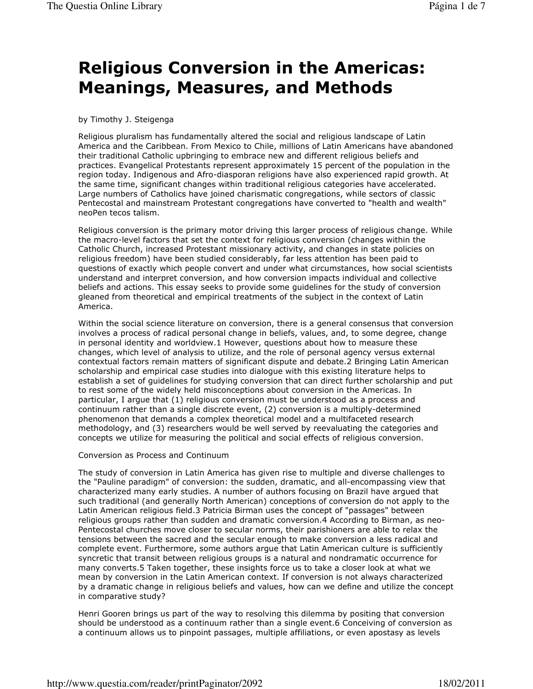## Religious Conversion in the Americas: Meanings, Measures, and Methods

by Timothy J. Steigenga

Religious pluralism has fundamentally altered the social and religious landscape of Latin America and the Caribbean. From Mexico to Chile, millions of Latin Americans have abandoned their traditional Catholic upbringing to embrace new and different religious beliefs and practices. Evangelical Protestants represent approximately 15 percent of the population in the region today. Indigenous and Afro-diasporan religions have also experienced rapid growth. At the same time, significant changes within traditional religious categories have accelerated. Large numbers of Catholics have joined charismatic congregations, while sectors of classic Pentecostal and mainstream Protestant congregations have converted to "health and wealth" neoPen tecos talism.

Religious conversion is the primary motor driving this larger process of religious change. While the macro-level factors that set the context for religious conversion (changes within the Catholic Church, increased Protestant missionary activity, and changes in state policies on religious freedom) have been studied considerably, far less attention has been paid to questions of exactly which people convert and under what circumstances, how social scientists understand and interpret conversion, and how conversion impacts individual and collective beliefs and actions. This essay seeks to provide some guidelines for the study of conversion gleaned from theoretical and empirical treatments of the subject in the context of Latin America.

Within the social science literature on conversion, there is a general consensus that conversion involves a process of radical personal change in beliefs, values, and, to some degree, change in personal identity and worldview.1 However, questions about how to measure these changes, which level of analysis to utilize, and the role of personal agency versus external contextual factors remain matters of significant dispute and debate.2 Bringing Latin American scholarship and empirical case studies into dialogue with this existing literature helps to establish a set of guidelines for studying conversion that can direct further scholarship and put to rest some of the widely held misconceptions about conversion in the Americas. In particular, I argue that (1) religious conversion must be understood as a process and continuum rather than a single discrete event, (2) conversion is a multiply-determined phenomenon that demands a complex theoretical model and a multifaceted research methodology, and (3) researchers would be well served by reevaluating the categories and concepts we utilize for measuring the political and social effects of religious conversion.

Conversion as Process and Continuum

The study of conversion in Latin America has given rise to multiple and diverse challenges to the "Pauline paradigm" of conversion: the sudden, dramatic, and all-encompassing view that characterized many early studies. A number of authors focusing on Brazil have argued that such traditional (and generally North American) conceptions of conversion do not apply to the Latin American religious field.3 Patricia Birman uses the concept of "passages" between religious groups rather than sudden and dramatic conversion.4 According to Birman, as neo-Pentecostal churches move closer to secular norms, their parishioners are able to relax the tensions between the sacred and the secular enough to make conversion a less radical and complete event. Furthermore, some authors argue that Latin American culture is sufficiently syncretic that transit between religious groups is a natural and nondramatic occurrence for many converts.5 Taken together, these insights force us to take a closer look at what we mean by conversion in the Latin American context. If conversion is not always characterized by a dramatic change in religious beliefs and values, how can we define and utilize the concept in comparative study?

Henri Gooren brings us part of the way to resolving this dilemma by positing that conversion should be understood as a continuum rather than a single event.6 Conceiving of conversion as a continuum allows us to pinpoint passages, multiple affiliations, or even apostasy as levels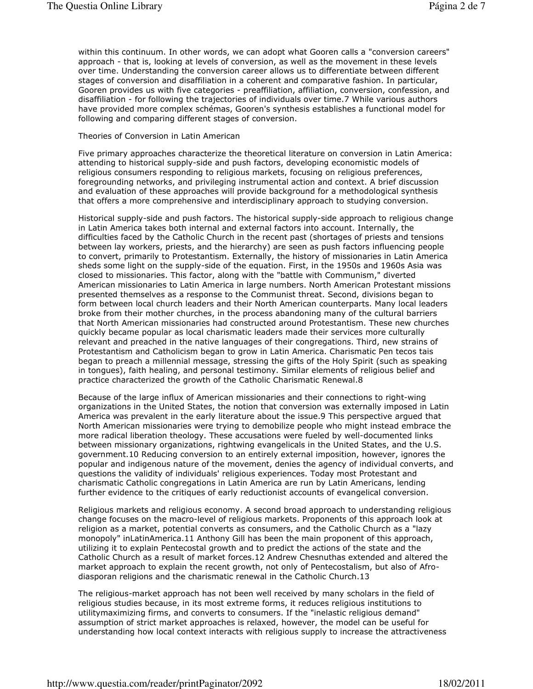within this continuum. In other words, we can adopt what Gooren calls a "conversion careers" approach - that is, looking at levels of conversion, as well as the movement in these levels over time. Understanding the conversion career allows us to differentiate between different stages of conversion and disaffiliation in a coherent and comparative fashion. In particular, Gooren provides us with five categories - preaffiliation, affiliation, conversion, confession, and disaffiliation - for following the trajectories of individuals over time.7 While various authors have provided more complex schémas, Gooren's synthesis establishes a functional model for following and comparing different stages of conversion.

## Theories of Conversion in Latin American

Five primary approaches characterize the theoretical literature on conversion in Latin America: attending to historical supply-side and push factors, developing economistic models of religious consumers responding to religious markets, focusing on religious preferences, foregrounding networks, and privileging instrumental action and context. A brief discussion and evaluation of these approaches will provide background for a methodological synthesis that offers a more comprehensive and interdisciplinary approach to studying conversion.

Historical supply-side and push factors. The historical supply-side approach to religious change in Latin America takes both internal and external factors into account. Internally, the difficulties faced by the Catholic Church in the recent past (shortages of priests and tensions between lay workers, priests, and the hierarchy) are seen as push factors influencing people to convert, primarily to Protestantism. Externally, the history of missionaries in Latin America sheds some light on the supply-side of the equation. First, in the 1950s and 1960s Asia was closed to missionaries. This factor, along with the "battle with Communism," diverted American missionaries to Latin America in large numbers. North American Protestant missions presented themselves as a response to the Communist threat. Second, divisions began to form between local church leaders and their North American counterparts. Many local leaders broke from their mother churches, in the process abandoning many of the cultural barriers that North American missionaries had constructed around Protestantism. These new churches quickly became popular as local charismatic leaders made their services more culturally relevant and preached in the native languages of their congregations. Third, new strains of Protestantism and Catholicism began to grow in Latin America. Charismatic Pen tecos tais began to preach a millennial message, stressing the gifts of the Holy Spirit (such as speaking in tongues), faith healing, and personal testimony. Similar elements of religious belief and practice characterized the growth of the Catholic Charismatic Renewal.8

Because of the large influx of American missionaries and their connections to right-wing organizations in the United States, the notion that conversion was externally imposed in Latin America was prevalent in the early literature about the issue.9 This perspective argued that North American missionaries were trying to demobilize people who might instead embrace the more radical liberation theology. These accusations were fueled by well-documented links between missionary organizations, rightwing evangelicals in the United States, and the U.S. government.10 Reducing conversion to an entirely external imposition, however, ignores the popular and indigenous nature of the movement, denies the agency of individual converts, and questions the validity of individuals' religious experiences. Today most Protestant and charismatic Catholic congregations in Latin America are run by Latin Americans, lending further evidence to the critiques of early reductionist accounts of evangelical conversion.

Religious markets and religious economy. A second broad approach to understanding religious change focuses on the macro-level of religious markets. Proponents of this approach look at religion as a market, potential converts as consumers, and the Catholic Church as a "lazy monopoly" inLatinAmerica.11 Anthony Gill has been the main proponent of this approach, utilizing it to explain Pentecostal growth and to predict the actions of the state and the Catholic Church as a result of market forces.12 Andrew Chesnuthas extended and altered the market approach to explain the recent growth, not only of Pentecostalism, but also of Afrodiasporan religions and the charismatic renewal in the Catholic Church.13

The religious-market approach has not been well received by many scholars in the field of religious studies because, in its most extreme forms, it reduces religious institutions to utilitymaximizing firms, and converts to consumers. If the "inelastic religious demand" assumption of strict market approaches is relaxed, however, the model can be useful for understanding how local context interacts with religious supply to increase the attractiveness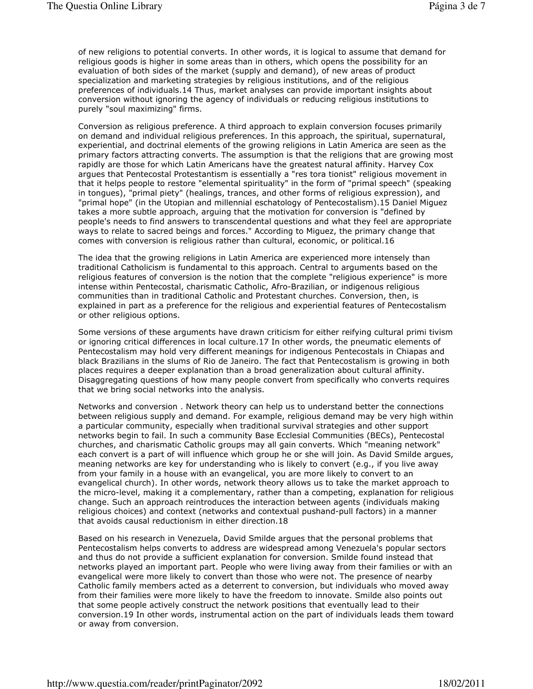of new religions to potential converts. In other words, it is logical to assume that demand for religious goods is higher in some areas than in others, which opens the possibility for an evaluation of both sides of the market (supply and demand), of new areas of product specialization and marketing strategies by religious institutions, and of the religious preferences of individuals.14 Thus, market analyses can provide important insights about conversion without ignoring the agency of individuals or reducing religious institutions to purely "soul maximizing" firms.

Conversion as religious preference. A third approach to explain conversion focuses primarily on demand and individual religious preferences. In this approach, the spiritual, supernatural, experiential, and doctrinal elements of the growing religions in Latin America are seen as the primary factors attracting converts. The assumption is that the religions that are growing most rapidly are those for which Latin Americans have the greatest natural affinity. Harvey Cox argues that Pentecostal Protestantism is essentially a "res tora tionist" religious movement in that it helps people to restore "elemental spirituality" in the form of "primal speech" (speaking in tongues), "primal piety" (healings, trances, and other forms of religious expression), and "primal hope" (in the Utopian and millennial eschatology of Pentecostalism).15 Daniel Miguez takes a more subtle approach, arguing that the motivation for conversion is "defined by people's needs to find answers to transcendental questions and what they feel are appropriate ways to relate to sacred beings and forces." According to Miguez, the primary change that comes with conversion is religious rather than cultural, economic, or political.16

The idea that the growing religions in Latin America are experienced more intensely than traditional Catholicism is fundamental to this approach. Central to arguments based on the religious features of conversion is the notion that the complete "religious experience" is more intense within Pentecostal, charismatic Catholic, Afro-Brazilian, or indigenous religious communities than in traditional Catholic and Protestant churches. Conversion, then, is explained in part as a preference for the religious and experiential features of Pentecostalism or other religious options.

Some versions of these arguments have drawn criticism for either reifying cultural primi tivism or ignoring critical differences in local culture.17 In other words, the pneumatic elements of Pentecostalism may hold very different meanings for indigenous Pentecostals in Chiapas and black Brazilians in the slums of Rio de Janeiro. The fact that Pentecostalism is growing in both places requires a deeper explanation than a broad generalization about cultural affinity. Disaggregating questions of how many people convert from specifically who converts requires that we bring social networks into the analysis.

Networks and conversion . Network theory can help us to understand better the connections between religious supply and demand. For example, religious demand may be very high within a particular community, especially when traditional survival strategies and other support networks begin to fail. In such a community Base Ecclesial Communities (BECs), Pentecostal churches, and charismatic Catholic groups may all gain converts. Which "meaning network" each convert is a part of will influence which group he or she will join. As David Smilde argues, meaning networks are key for understanding who is likely to convert (e.g., if you live away from your family in a house with an evangelical, you are more likely to convert to an evangelical church). In other words, network theory allows us to take the market approach to the micro-level, making it a complementary, rather than a competing, explanation for religious change. Such an approach reintroduces the interaction between agents (individuals making religious choices) and context (networks and contextual pushand-pull factors) in a manner that avoids causal reductionism in either direction.18

Based on his research in Venezuela, David Smilde argues that the personal problems that Pentecostalism helps converts to address are widespread among Venezuela's popular sectors and thus do not provide a sufficient explanation for conversion. Smilde found instead that networks played an important part. People who were living away from their families or with an evangelical were more likely to convert than those who were not. The presence of nearby Catholic family members acted as a deterrent to conversion, but individuals who moved away from their families were more likely to have the freedom to innovate. Smilde also points out that some people actively construct the network positions that eventually lead to their conversion.19 In other words, instrumental action on the part of individuals leads them toward or away from conversion.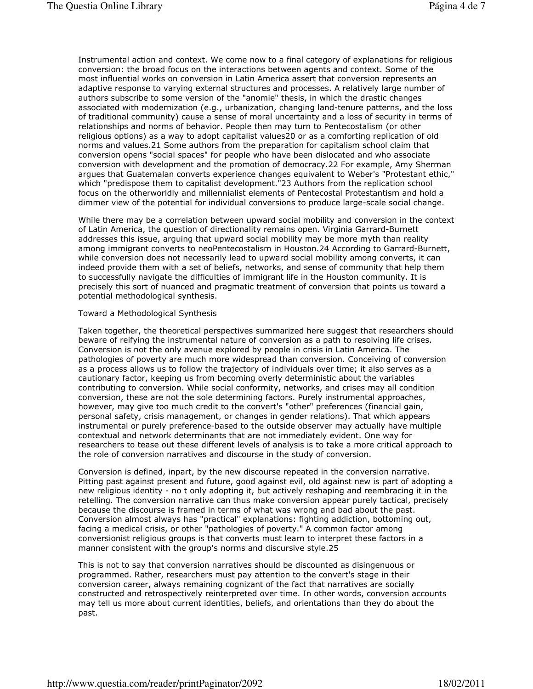Instrumental action and context. We come now to a final category of explanations for religious conversion: the broad focus on the interactions between agents and context. Some of the most influential works on conversion in Latin America assert that conversion represents an adaptive response to varying external structures and processes. A relatively large number of authors subscribe to some version of the "anomie" thesis, in which the drastic changes associated with modernization (e.g., urbanization, changing land-tenure patterns, and the loss of traditional community) cause a sense of moral uncertainty and a loss of security in terms of relationships and norms of behavior. People then may turn to Pentecostalism (or other religious options) as a way to adopt capitalist values20 or as a comforting replication of old norms and values.21 Some authors from the preparation for capitalism school claim that conversion opens "social spaces" for people who have been dislocated and who associate conversion with development and the promotion of democracy.22 For example, Amy Sherman argues that Guatemalan converts experience changes equivalent to Weber's "Protestant ethic," which "predispose them to capitalist development."23 Authors from the replication school focus on the otherworldly and millennialist elements of Pentecostal Protestantism and hold a dimmer view of the potential for individual conversions to produce large-scale social change.

While there may be a correlation between upward social mobility and conversion in the context of Latin America, the question of directionality remains open. Virginia Garrard-Burnett addresses this issue, arguing that upward social mobility may be more myth than reality among immigrant converts to neoPentecostalism in Houston.24 According to Garrard-Burnett, while conversion does not necessarily lead to upward social mobility among converts, it can indeed provide them with a set of beliefs, networks, and sense of community that help them to successfully navigate the difficulties of immigrant life in the Houston community. It is precisely this sort of nuanced and pragmatic treatment of conversion that points us toward a potential methodological synthesis.

## Toward a Methodological Synthesis

Taken together, the theoretical perspectives summarized here suggest that researchers should beware of reifying the instrumental nature of conversion as a path to resolving life crises. Conversion is not the only avenue explored by people in crisis in Latin America. The pathologies of poverty are much more widespread than conversion. Conceiving of conversion as a process allows us to follow the trajectory of individuals over time; it also serves as a cautionary factor, keeping us from becoming overly deterministic about the variables contributing to conversion. While social conformity, networks, and crises may all condition conversion, these are not the sole determining factors. Purely instrumental approaches, however, may give too much credit to the convert's "other" preferences (financial gain, personal safety, crisis management, or changes in gender relations). That which appears instrumental or purely preference-based to the outside observer may actually have multiple contextual and network determinants that are not immediately evident. One way for researchers to tease out these different levels of analysis is to take a more critical approach to the role of conversion narratives and discourse in the study of conversion.

Conversion is defined, inpart, by the new discourse repeated in the conversion narrative. Pitting past against present and future, good against evil, old against new is part of adopting a new religious identity - no t only adopting it, but actively reshaping and reembracing it in the retelling. The conversion narrative can thus make conversion appear purely tactical, precisely because the discourse is framed in terms of what was wrong and bad about the past. Conversion almost always has "practical" explanations: fighting addiction, bottoming out, facing a medical crisis, or other "pathologies of poverty." A common factor among conversionist religious groups is that converts must learn to interpret these factors in a manner consistent with the group's norms and discursive style.25

This is not to say that conversion narratives should be discounted as disingenuous or programmed. Rather, researchers must pay attention to the convert's stage in their conversion career, always remaining cognizant of the fact that narratives are socially constructed and retrospectively reinterpreted over time. In other words, conversion accounts may tell us more about current identities, beliefs, and orientations than they do about the past.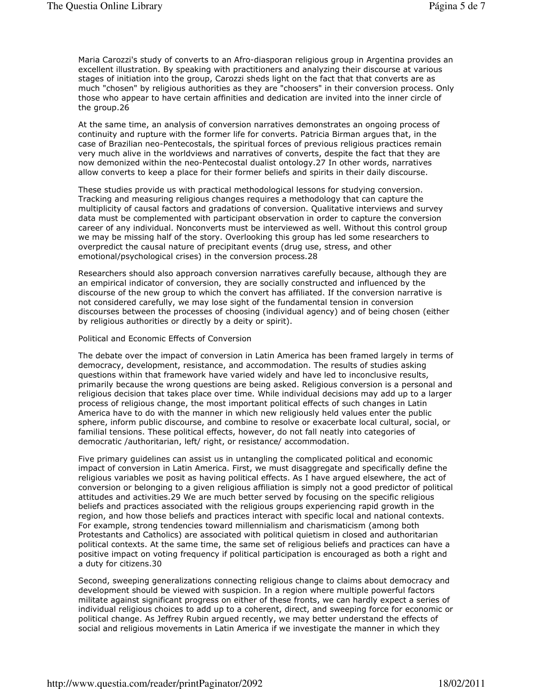Maria Carozzi's study of converts to an Afro-diasporan religious group in Argentina provides an excellent illustration. By speaking with practitioners and analyzing their discourse at various stages of initiation into the group, Carozzi sheds light on the fact that that converts are as much "chosen" by religious authorities as they are "choosers" in their conversion process. Only those who appear to have certain affinities and dedication are invited into the inner circle of the group.26

At the same time, an analysis of conversion narratives demonstrates an ongoing process of continuity and rupture with the former life for converts. Patricia Birman argues that, in the case of Brazilian neo-Pentecostals, the spiritual forces of previous religious practices remain very much alive in the worldviews and narratives of converts, despite the fact that they are now demonized within the neo-Pentecostal dualist ontology.27 In other words, narratives allow converts to keep a place for their former beliefs and spirits in their daily discourse.

These studies provide us with practical methodological lessons for studying conversion. Tracking and measuring religious changes requires a methodology that can capture the multiplicity of causal factors and gradations of conversion. Qualitative interviews and survey data must be complemented with participant observation in order to capture the conversion career of any individual. Nonconverts must be interviewed as well. Without this control group we may be missing half of the story. Overlooking this group has led some researchers to overpredict the causal nature of precipitant events (drug use, stress, and other emotional/psychological crises) in the conversion process.28

Researchers should also approach conversion narratives carefully because, although they are an empirical indicator of conversion, they are socially constructed and influenced by the discourse of the new group to which the convert has affiliated. If the conversion narrative is not considered carefully, we may lose sight of the fundamental tension in conversion discourses between the processes of choosing (individual agency) and of being chosen (either by religious authorities or directly by a deity or spirit).

Political and Economic Effects of Conversion

The debate over the impact of conversion in Latin America has been framed largely in terms of democracy, development, resistance, and accommodation. The results of studies asking questions within that framework have varied widely and have led to inconclusive results, primarily because the wrong questions are being asked. Religious conversion is a personal and religious decision that takes place over time. While individual decisions may add up to a larger process of religious change, the most important political effects of such changes in Latin America have to do with the manner in which new religiously held values enter the public sphere, inform public discourse, and combine to resolve or exacerbate local cultural, social, or familial tensions. These political effects, however, do not fall neatly into categories of democratic /authoritarian, left/ right, or resistance/ accommodation.

Five primary guidelines can assist us in untangling the complicated political and economic impact of conversion in Latin America. First, we must disaggregate and specifically define the religious variables we posit as having political effects. As I have argued elsewhere, the act of conversion or belonging to a given religious affiliation is simply not a good predictor of political attitudes and activities.29 We are much better served by focusing on the specific religious beliefs and practices associated with the religious groups experiencing rapid growth in the region, and how those beliefs and practices interact with specific local and national contexts. For example, strong tendencies toward millennialism and charismaticism (among both Protestants and Catholics) are associated with political quietism in closed and authoritarian political contexts. At the same time, the same set of religious beliefs and practices can have a positive impact on voting frequency if political participation is encouraged as both a right and a duty for citizens.30

Second, sweeping generalizations connecting religious change to claims about democracy and development should be viewed with suspicion. In a region where multiple powerful factors militate against significant progress on either of these fronts, we can hardly expect a series of individual religious choices to add up to a coherent, direct, and sweeping force for economic or political change. As Jeffrey Rubin argued recently, we may better understand the effects of social and religious movements in Latin America if we investigate the manner in which they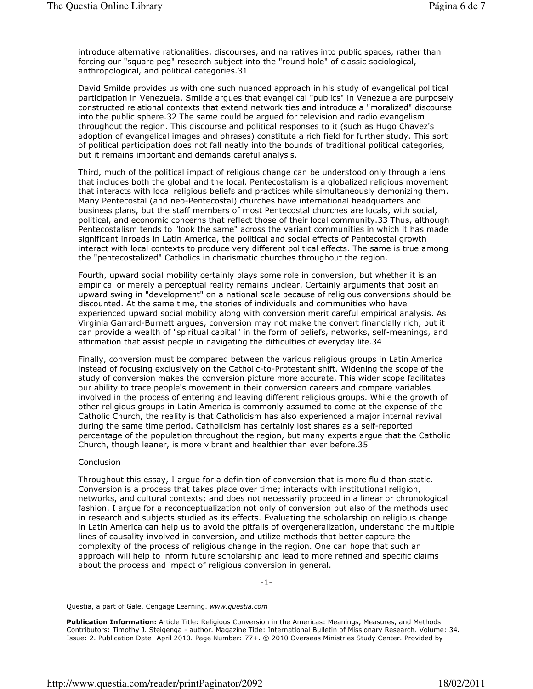introduce alternative rationalities, discourses, and narratives into public spaces, rather than forcing our "square peg" research subject into the "round hole" of classic sociological, anthropological, and political categories.31

David Smilde provides us with one such nuanced approach in his study of evangelical political participation in Venezuela. Smilde argues that evangelical "publics" in Venezuela are purposely constructed relational contexts that extend network ties and introduce a "moralized" discourse into the public sphere.32 The same could be argued for television and radio evangelism throughout the region. This discourse and political responses to it (such as Hugo Chavez's adoption of evangelical images and phrases) constitute a rich field for further study. This sort of political participation does not fall neatly into the bounds of traditional political categories, but it remains important and demands careful analysis.

Third, much of the political impact of religious change can be understood only through a iens that includes both the global and the local. Pentecostalism is a globalized religious movement that interacts with local religious beliefs and practices while simultaneously demonizing them. Many Pentecostal (and neo-Pentecostal) churches have international headquarters and business plans, but the staff members of most Pentecostal churches are locals, with social, political, and economic concerns that reflect those of their local community.33 Thus, although Pentecostalism tends to "look the same" across the variant communities in which it has made significant inroads in Latin America, the political and social effects of Pentecostal growth interact with local contexts to produce very different political effects. The same is true among the "pentecostalized" Catholics in charismatic churches throughout the region.

Fourth, upward social mobility certainly plays some role in conversion, but whether it is an empirical or merely a perceptual reality remains unclear. Certainly arguments that posit an upward swing in "development" on a national scale because of religious conversions should be discounted. At the same time, the stories of individuals and communities who have experienced upward social mobility along with conversion merit careful empirical analysis. As Virginia Garrard-Burnett argues, conversion may not make the convert financially rich, but it can provide a wealth of "spiritual capital" in the form of beliefs, networks, self-meanings, and affirmation that assist people in navigating the difficulties of everyday life.34

Finally, conversion must be compared between the various religious groups in Latin America instead of focusing exclusively on the Catholic-to-Protestant shift. Widening the scope of the study of conversion makes the conversion picture more accurate. This wider scope facilitates our ability to trace people's movement in their conversion careers and compare variables involved in the process of entering and leaving different religious groups. While the growth of other religious groups in Latin America is commonly assumed to come at the expense of the Catholic Church, the reality is that Catholicism has also experienced a major internal revival during the same time period. Catholicism has certainly lost shares as a self-reported percentage of the population throughout the region, but many experts argue that the Catholic Church, though leaner, is more vibrant and healthier than ever before.35

## **Conclusion**

Throughout this essay, I argue for a definition of conversion that is more fluid than static. Conversion is a process that takes place over time; interacts with institutional religion, networks, and cultural contexts; and does not necessarily proceed in a linear or chronological fashion. I argue for a reconceptualization not only of conversion but also of the methods used in research and subjects studied as its effects. Evaluating the scholarship on religious change in Latin America can help us to avoid the pitfalls of overgeneralization, understand the multiple lines of causality involved in conversion, and utilize methods that better capture the complexity of the process of religious change in the region. One can hope that such an approach will help to inform future scholarship and lead to more refined and specific claims about the process and impact of religious conversion in general.

-1-

Questia, a part of Gale, Cengage Learning. www.questia.com

Publication Information: Article Title: Religious Conversion in the Americas: Meanings, Measures, and Methods. Contributors: Timothy J. Steigenga - author. Magazine Title: International Bulletin of Missionary Research. Volume: 34. Issue: 2. Publication Date: April 2010. Page Number: 77+. © 2010 Overseas Ministries Study Center. Provided by